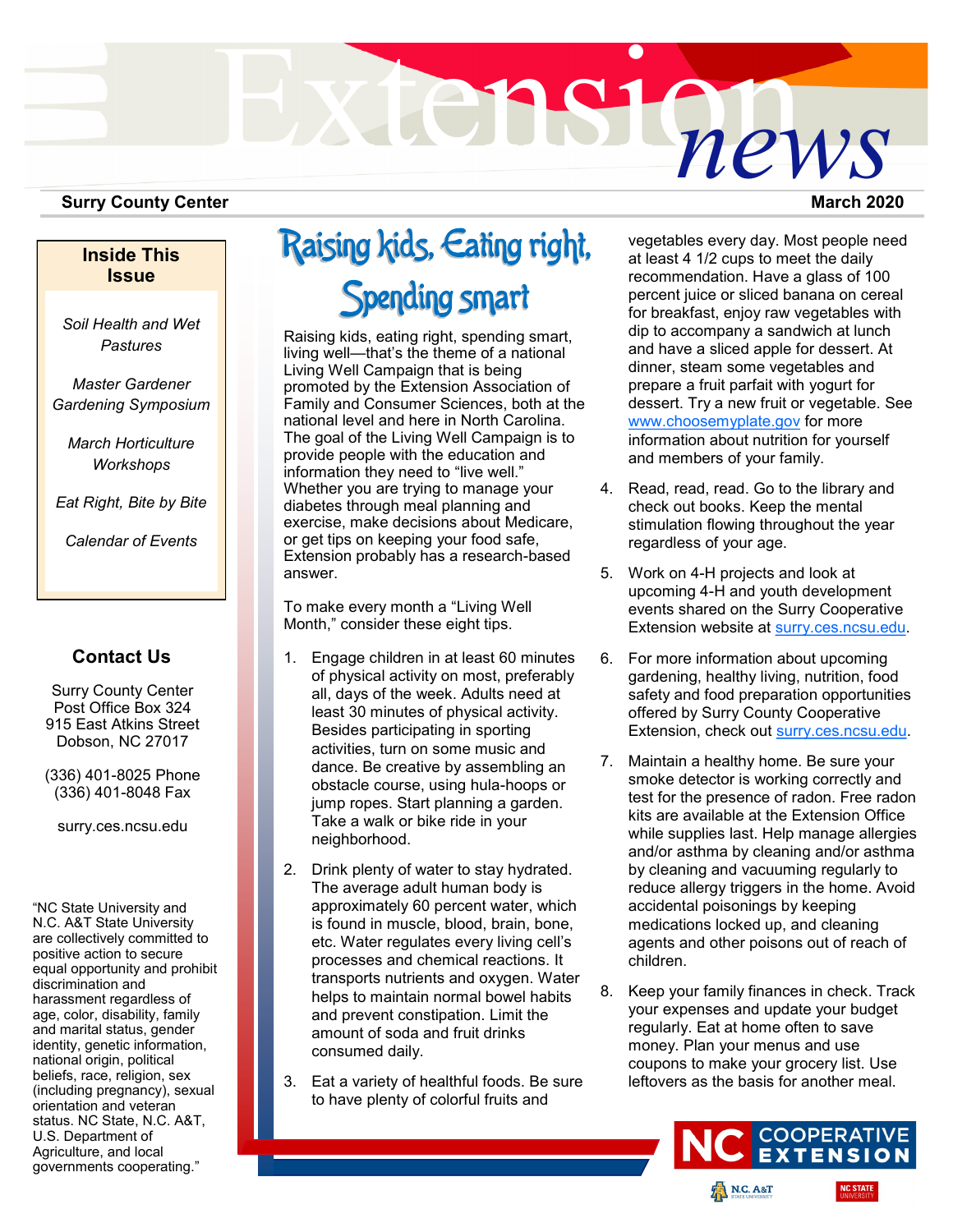## **Surry County Center**

### **Inside This Issue**

*Soil Health and Wet Pastures*

*Master Gardener Gardening Symposium*

*March Horticulture Workshops*

*Eat Right, Bite by Bite*

*Calendar of Events*

# **Contact Us**

Surry County Center Post Office Box 324 915 East Atkins Street Dobson, NC 27017

(336) 401-8025 Phone (336) 401-8048 Fax

surry.ces.ncsu.edu

"NC State University and N.C. A&T State University are collectively committed to positive action to secure equal opportunity and prohibit discrimination and harassment regardless of age, color, disability, family and marital status, gender identity, genetic information, national origin, political beliefs, race, religion, sex (including pregnancy), sexual orientation and veteran status. NC State, N.C. A&T, U.S. Department of Agriculture, and local governments cooperating."

# Raising kids, Eating right, **Spending smart**

Raising kids, eating right, spending smart, living well—that's the theme of a national Living Well Campaign that is being promoted by the Extension Association of Family and Consumer Sciences, both at the national level and here in North Carolina. The goal of the Living Well Campaign is to provide people with the education and information they need to "live well." Whether you are trying to manage your diabetes through meal planning and exercise, make decisions about Medicare, or get tips on keeping your food safe, Extension probably has a research-based answer.

To make every month a "Living Well Month," consider these eight tips.

- 1. Engage children in at least 60 minutes of physical activity on most, preferably all, days of the week. Adults need at least 30 minutes of physical activity. Besides participating in sporting activities, turn on some music and dance. Be creative by assembling an obstacle course, using hula-hoops or jump ropes. Start planning a garden. Take a walk or bike ride in your neighborhood.
- 2. Drink plenty of water to stay hydrated. The average adult human body is approximately 60 percent water, which is found in muscle, blood, brain, bone, etc. Water regulates every living cell's processes and chemical reactions. It transports nutrients and oxygen. Water helps to maintain normal bowel habits and prevent constipation. Limit the amount of soda and fruit drinks consumed daily.
- 3. Eat a variety of healthful foods. Be sure to have plenty of colorful fruits and

vegetables every day. Most people need at least 4 1/2 cups to meet the daily recommendation. Have a glass of 100 percent juice or sliced banana on cereal for breakfast, enjoy raw vegetables with dip to accompany a sandwich at lunch and have a sliced apple for dessert. At dinner, steam some vegetables and prepare a fruit parfait with yogurt for dessert. Try a new fruit or vegetable. See [www.choosemyplate.gov](http://www.choosemyplate.gov) for more information about nutrition for yourself and members of your family.

- 4. Read, read, read. Go to the library and check out books. Keep the mental stimulation flowing throughout the year regardless of your age.
- 5. Work on 4-H projects and look at upcoming 4-H and youth development events shared on the Surry Cooperative Extension website at [surry.ces.ncsu.edu.](surry.ces.ncsu.edu)
- 6. For more information about upcoming gardening, healthy living, nutrition, food safety and food preparation opportunities offered by Surry County Cooperative Extension, check out [surry.ces.ncsu.edu.](surry.ces.ncsu.edu)
- 7. Maintain a healthy home. Be sure your smoke detector is working correctly and test for the presence of radon. Free radon kits are available at the Extension Office while supplies last. Help manage allergies and/or asthma by cleaning and/or asthma by cleaning and vacuuming regularly to reduce allergy triggers in the home. Avoid accidental poisonings by keeping medications locked up, and cleaning agents and other poisons out of reach of children.
- 8. Keep your family finances in check. Track your expenses and update your budget regularly. Eat at home often to save money. Plan your menus and use coupons to make your grocery list. Use leftovers as the basis for another meal.





#### **March 2020**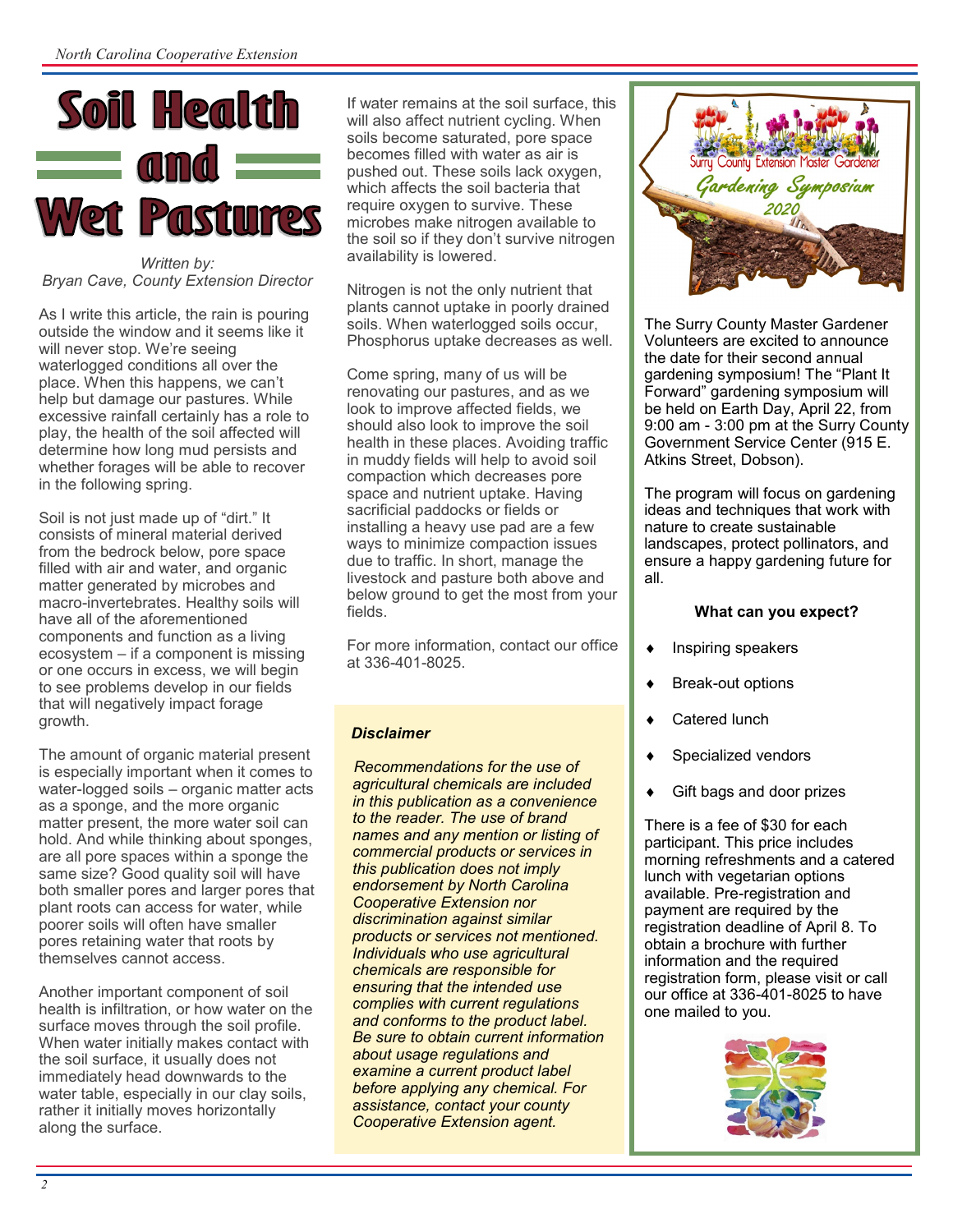

*Written by: Bryan Cave, County Extension Director*

As I write this article, the rain is pouring outside the window and it seems like it will never stop. We're seeing waterlogged conditions all over the place. When this happens, we can't help but damage our pastures. While excessive rainfall certainly has a role to play, the health of the soil affected will determine how long mud persists and whether forages will be able to recover in the following spring.

Soil is not just made up of "dirt." It consists of mineral material derived from the bedrock below, pore space filled with air and water, and organic matter generated by microbes and macro-invertebrates. Healthy soils will have all of the aforementioned components and function as a living ecosystem – if a component is missing or one occurs in excess, we will begin to see problems develop in our fields that will negatively impact forage growth.

The amount of organic material present is especially important when it comes to water-logged soils – organic matter acts as a sponge, and the more organic matter present, the more water soil can hold. And while thinking about sponges, are all pore spaces within a sponge the same size? Good quality soil will have both smaller pores and larger pores that plant roots can access for water, while poorer soils will often have smaller pores retaining water that roots by themselves cannot access.

Another important component of soil health is infiltration, or how water on the surface moves through the soil profile. When water initially makes contact with the soil surface, it usually does not immediately head downwards to the water table, especially in our clay soils, rather it initially moves horizontally along the surface.

If water remains at the soil surface, this will also affect nutrient cycling. When soils become saturated, pore space becomes filled with water as air is pushed out. These soils lack oxygen, which affects the soil bacteria that require oxygen to survive. These microbes make nitrogen available to the soil so if they don't survive nitrogen availability is lowered.

Nitrogen is not the only nutrient that plants cannot uptake in poorly drained soils. When waterlogged soils occur, Phosphorus uptake decreases as well.

Come spring, many of us will be renovating our pastures, and as we look to improve affected fields, we should also look to improve the soil health in these places. Avoiding traffic in muddy fields will help to avoid soil compaction which decreases pore space and nutrient uptake. Having sacrificial paddocks or fields or installing a heavy use pad are a few ways to minimize compaction issues due to traffic. In short, manage the livestock and pasture both above and below ground to get the most from your fields.

For more information, contact our office at 336-401-8025.

#### *Disclaimer*

 *Recommendations for the use of agricultural chemicals are included in this publication as a convenience to the reader. The use of brand names and any mention or listing of commercial products or services in this publication does not imply endorsement by North Carolina Cooperative Extension nor discrimination against similar products or services not mentioned. Individuals who use agricultural chemicals are responsible for ensuring that the intended use complies with current regulations and conforms to the product label. Be sure to obtain current information about usage regulations and examine a current product label before applying any chemical. For assistance, contact your county Cooperative Extension agent.*



The Surry County Master Gardener Volunteers are excited to announce the date for their second annual gardening symposium! The "Plant It Forward" gardening symposium will be held on Earth Day, April 22, from 9:00 am - 3:00 pm at the Surry County Government Service Center (915 E. Atkins Street, Dobson).

The program will focus on gardening ideas and techniques that work with nature to create sustainable landscapes, protect pollinators, and ensure a happy gardening future for all.

#### **What can you expect?**

- Inspiring speakers
- Break-out options
- Catered lunch
- Specialized vendors
- Gift bags and door prizes

There is a fee of \$30 for each participant. This price includes morning refreshments and a catered lunch with vegetarian options available. Pre-registration and payment are required by the registration deadline of April 8. To obtain a brochure with further information and the required registration form, please visit or call our office at 336-401-8025 to have one mailed to you.

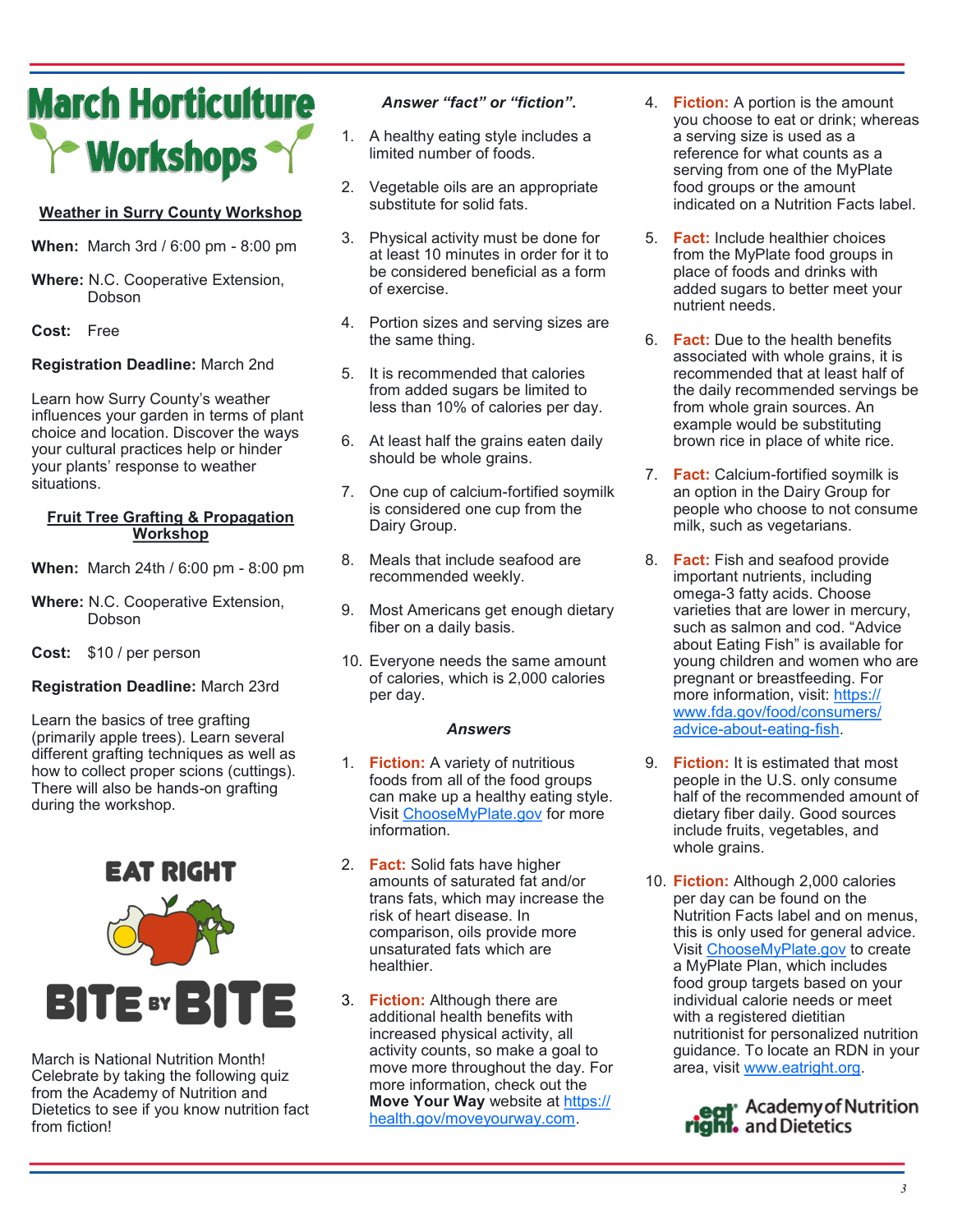# **March Horticulture Workshops**

# **Weather in Surry County Workshop**

**When:** March 3rd / 6:00 pm - 8:00 pm

**Where:** N.C. Cooperative Extension, Dobson

**Cost:** Free

## **Registration Deadline:** March 2nd

Learn how Surry County's weather influences your garden in terms of plant choice and location. Discover the ways your cultural practices help or hinder your plants' response to weather situations.

### **Fruit Tree Grafting & Propagation Workshop**

- **When:** March 24th / 6:00 pm 8:00 pm
- **Where:** N.C. Cooperative Extension, **Dobson**

**Cost:** \$10 / per person

## **Registration Deadline:** March 23rd

Learn the basics of tree grafting (primarily apple trees). Learn several different grafting techniques as well as how to collect proper scions (cuttings). There will also be hands-on grafting during the workshop.



March is National Nutrition Month! Celebrate by taking the following quiz from the Academy of Nutrition and Dietetics to see if you know nutrition fact from fiction!

### *Answer "fact" or "fiction".*

- 1. A healthy eating style includes a limited number of foods.
- 2. Vegetable oils are an appropriate substitute for solid fats.
- 3. Physical activity must be done for at least 10 minutes in order for it to be considered beneficial as a form of exercise.
- 4. Portion sizes and serving sizes are the same thing.
- 5. It is recommended that calories from added sugars be limited to less than 10% of calories per day.
- 6. At least half the grains eaten daily should be whole grains.
- 7. One cup of calcium-fortified soymilk is considered one cup from the Dairy Group.
- 8. Meals that include seafood are recommended weekly.
- 9. Most Americans get enough dietary fiber on a daily basis.
- 10. Everyone needs the same amount of calories, which is 2,000 calories per day.

#### *Answers*

- 1. **Fiction:** A variety of nutritious foods from all of the food groups can make up a healthy eating style. Visit [ChooseMyPlate.gov](choosemyplate.gov) for more information.
- 2. **Fact:** Solid fats have higher amounts of saturated fat and/or trans fats, which may increase the risk of heart disease. In comparison, oils provide more unsaturated fats which are healthier.
- 3. **Fiction:** Although there are additional health benefits with increased physical activity, all activity counts, so make a goal to move more throughout the day. For more information, check out the **Move Your Way** website at [https://](https://health.gov/moveyourway.com) [health.gov/moveyourway.com.](https://health.gov/moveyourway.com)
- 4. **Fiction:** A portion is the amount you choose to eat or drink; whereas a serving size is used as a reference for what counts as a serving from one of the MyPlate food groups or the amount indicated on a Nutrition Facts label.
- 5. **Fact:** Include healthier choices from the MyPlate food groups in place of foods and drinks with added sugars to better meet your nutrient needs.
- 6. **Fact:** Due to the health benefits associated with whole grains, it is recommended that at least half of the daily recommended servings be from whole grain sources. An example would be substituting brown rice in place of white rice.
- 7. **Fact:** Calcium-fortified soymilk is an option in the Dairy Group for people who choose to not consume milk, such as vegetarians.
- 8. **Fact:** Fish and seafood provide important nutrients, including omega-3 fatty acids. Choose varieties that are lower in mercury, such as salmon and cod. "Advice about Eating Fish" is available for young children and women who are pregnant or breastfeeding. For more information, visit: [https://](https://www.fda.gov/food/consumers/advice-about-eating-fish) [www.fda.gov/food/consumers/](https://www.fda.gov/food/consumers/advice-about-eating-fish) [advice](https://www.fda.gov/food/consumers/advice-about-eating-fish)-about-eating-fish.
- 9. **Fiction:** It is estimated that most people in the U.S. only consume half of the recommended amount of dietary fiber daily. Good sources include fruits, vegetables, and whole grains.
- 10. **Fiction:** Although 2,000 calories per day can be found on the Nutrition Facts label and on menus, this is only used for general advice. Visit [ChooseMyPlate.gov](choosemyplate.gov) to create a MyPlate Plan, which includes food group targets based on your individual calorie needs or meet with a registered dietitian nutritionist for personalized nutrition guidance. To locate an RDN in your area, visit [www.eatright.org.](http://www.eatright.org)